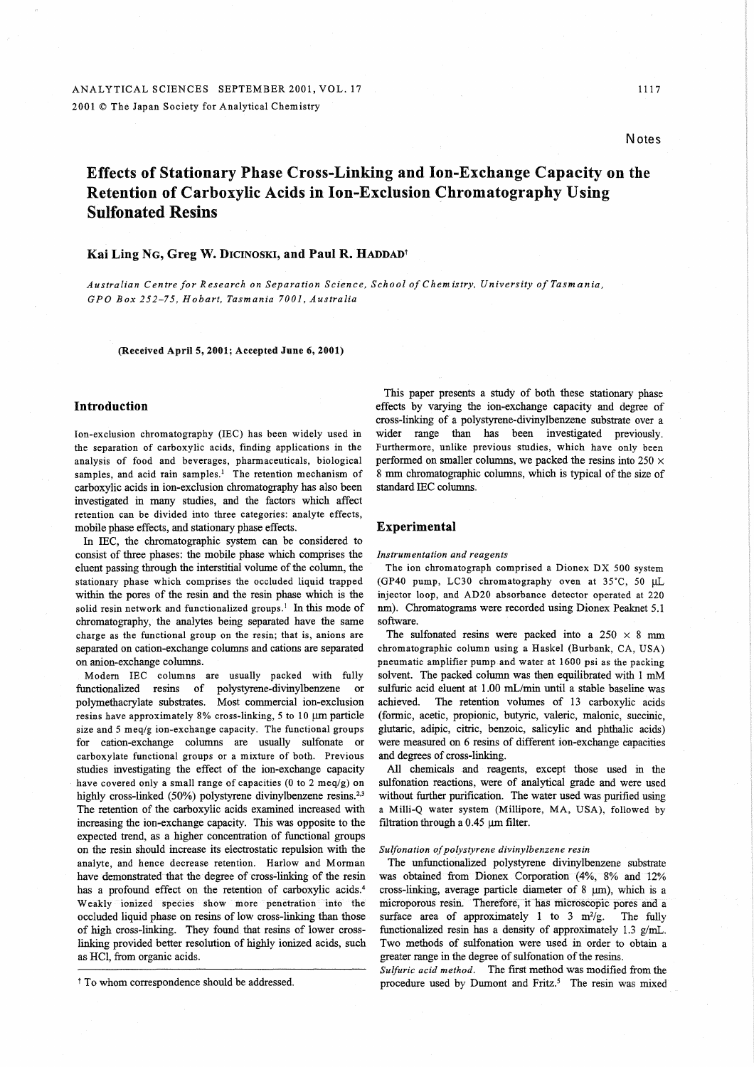# **Notes**

# Effects of Stationary Phase Cross-Linking and Ion-Exchange Capacity on the Retention of Carboxylic Acids in Ion-Exclusion Chromatography Using Sulfonated Resins

# Kai Ling NG, Greg W. DICINOSKI, and Paul R. HADDAD<sup>t</sup>

*Australian Centre for Research on Separation Science, School of* C *hem is try, University of Tasm an ia, GPO Box* 252-75, *Hobart, Tasmania 7001, Australia* 

# (Received April 5, 2001; Accepted June 6, 2001)

# Introduction

Ion-exclusion chromatography (IEC) has been widely used in the separation of carboxylic acids, finding applications in the analysis of food and beverages, pharmaceuticals, biological samples, and acid rain samples.<sup>1</sup> The retention mechanism of carboxylic acids in ion-exclusion chromatography has also been investigated in many studies, and the factors which affect retention can be divided into three categories: analyte effects, mobile phase effects, and stationary phase effects.

In IEC, the chromatographic system can be considered to consist of three phases: the mobile phase which comprises the eluent passing through the interstitial volume of the column, the stationary phase which comprises the occluded liquid trapped within the pores of the resin and the resin phase which is the solid resin network and functionalized groups.! In this mode of chromatography, the analytes being separated have the same charge as the functional group on the resin; that is, anions are separated on cation-exchange columns and cations are separated on anion-exchange columns.

Modem IEC columns are usually packed with fully functionalized resins of polystyrene-divinylbenzene or polymethacrylate substrates. Most commercial ion-exclusion resins have approximately 8% cross-linking, 5 to 10  $\mu$ m particle size and 5 meq/g ion-exchange capacity. The functional groups for cation-exchange columns are usually sulfonate or carboxylate functional groups or a mixture of both. Previous studies investigating the effect of the ion-exchange capacity have covered only a small range of capacities (0 to 2 meq/g) on highly cross-linked (50%) polystyrene divinylbenzene resins.<sup>2,3</sup> The retention of the carboxylic acids examined increased with increasing the ion-exchange capacity. This was opposite to the expected trend, as a higher concentration of functional groups on the resin should increase its electrostatic repulsion with the analyte, and hence decrease retention. Harlow and Morman have demonstrated that the degree of cross-linking of the resin has a profound effect on the retention of carboxylic acids.<sup>4</sup> Weakly ionized species show more penetration into the occluded liquid phase on resins of low cross-linking than those of high cross-linking. They found that resins of lower crosslinking provided better resolution of highly ionized acids, such as HCI, from organic acids.

This paper presents a study of both these stationary phase effects by varying the ion-exchange capacity and degree of cross-linking of a polystyrene-divinylbenzene substrate over a wider range than has been investigated previously. Furthermore, unlike previous studies, which have only been performed on smaller columns, we packed the resins into  $250 \times$ 8 mm chromatographic columns, which is typical of the size of standard IEC columns.

# Experimental

# *Instrumentation and reagents*

The ion chromatograph comprised a Dionex DX 500 system (GP40 pump, LC30 chromatography oven at  $35^{\circ}$ C, 50 µL injector loop, and AD20 absorbance detector operated at 220 nm). Chromatograms were recorded using Dionex Peaknet 5.1 software.

The sulfonated resins were packed into a  $250 \times 8$  mm chromatographic column using a Haskel (Burbank, CA, USA) pneumatic amplifier pump and water at 1600 psi as the packing solvent. The packed column was then equilibrated with 1 mM sulfuric acid eluent at 1.00 mL/min until a stable baseline was achieved. The retention volumes of 13 carboxylic acids (formic, acetic, propionic, butyric, valeric, malonic, succinic, glutaric, adipic, citric, benzoic, salicylic and phthalic acids) were measured on 6 resins of different ion-exchange capacities and degrees of cross-linking.

All chemicals and reagents, except those used in the sulfonation reactions, were of analytical grade and were used without further purification. The water used was purified using a Milli-Q water system (Millipore, MA, USA), followed by filtration through a  $0.45 \ \mu m$  filter.

# *Sulfonation of polystyrene divinylbenzene resin*

The unfunctionalized polystyrene divinylbenzene substrate was obtained from Dionex Corporation (4%, 8% and 12% cross-linking, average particle diameter of 8  $\mu$ m), which is a microporous resin. Therefore, it has microscopic pores and a surface area of approximately 1 to 3 m<sup>2</sup>/g. The fully functionalized resin has a density of approximately 1.3 g/mL. Two methods of sulfonation were used in order to obtain a greater range in the degree of sulfonation of the resins.

*Sulfuric acid method.* The first method was modified from the procedure used by Dumont and Fritz.<sup>5</sup> The resin was mixed

t To whom correspondence should be addressed.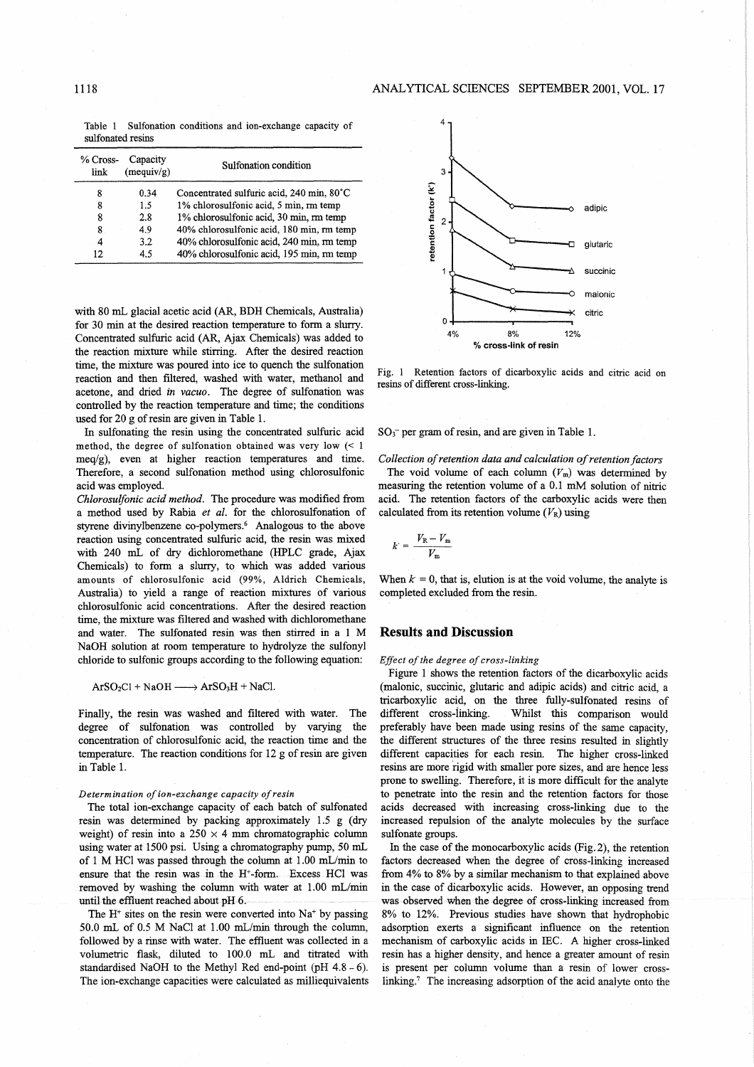Table 1 Sulfonation conditions and ion-exchange capacity of sulfonated resins

| % Cross-<br>link | Capacity<br>(mequiv/g) | Sulfonation condition                     |
|------------------|------------------------|-------------------------------------------|
| 8                | 0.34                   | Concentrated sulfuric acid, 240 min, 80°C |
| 8                | 1.5                    | 1% chlorosulfonic acid, 5 min, rm temp    |
| 8                | 2.8                    | 1% chlorosulfonic acid, 30 min, rm temp   |
| 8                | 4.9                    | 40% chlorosulfonic acid, 180 min, rm temp |
| 4                | 3.2                    | 40% chlorosulfonic acid, 240 min, rm temp |
| 12               | 45                     | 40% chlorosulfonic acid, 195 min, rm temp |

with 80 mL glacial acetic acid (AR, BDH Chemicals, Australia) for 30 min at the desired reaction temperature to form a slurry. Concentrated sulfuric acid (AR, Ajax Chemicals) was added to the reaction mixture while stirring. After the desired reaction time, the mixture was poured into ice to quench the sulfonation reaction and then filtered, washed with water, methanol and acetone, and dried *in vacuo.* The degree of sulfonation was controlled by the reaction temperature and time; the conditions used for 20 g of resin are given in Table 1.

In sulfonating the resin using the concentrated sulfuric acid method, the degree of sulfonation obtained was very low  $\leq 1$  $meq/g$ ), even at higher reaction temperatures and time. Therefore, a second sulfonation method using chlorosulfonic acid was employed.

*Chlorosulfonic acid method.* The procedure was modified from a method used by Rabia *et al.* for the chlorosulfonation of styrene divinylbenzene co-polymers.<sup>6</sup> Analogous to the above reaction using concentrated sulfuric acid, the resin was mixed with 240 mL of dry dichloromethane (HPLC grade, Ajax Chemicals) to form a slurry, to which was added various amounts of chlorosulfonic acid (99%, Aldrich Chemicals, Australia) to yield a range of reaction mixtures of various chlorosulfonic acid concentrations. After the desired reaction time, the mixture was filtered and washed with dichloromethane and water. The sulfonated resin was then stirred in a 1 M NaOH solution at room temperature to hydrolyze the sulfonyl chloride to sulfonic groups according to the following equation:

 $ArSO_2Cl + NaOH \longrightarrow ArSO_3H + NaCl.$ 

Finally, the resin was washed and filtered with water. The degree of sulfonation was controlled by varying the concentration of chlorosulfonic acid, the reaction time and the temperature. The reaction conditions for 12 g of resin are given in Table l.

#### *Determination of ion-exchange capacity of resin*

The total ion-exchange capacity of each batch of sulfonated resin was determined by packing approximately 1.5 g (dry weight) of resin into a  $250 \times 4$  mm chromatographic column using water at 1500 psi. Using a chromatography pump, 50 mL of 1 M HCl was passed through the column at 1.00 mL/min to ensure that the resin was in the H+-form. Excess HCl was removed by washing the column with water at 1.00 mL/min until the effluent reached about pH 6.

The  $H^+$  sites on the resin were converted into Na<sup>+</sup> by passing 50.0 mL of 0.5 M NaCI at 1.00 mL/min through the column, followed by a rinse with water. The effluent was collected in a volumetric flask, diluted to 100.0 mL and titrated with standardised NaOH to the Methyl Red end-point (pH 4.8 - 6). The ion-exchange capacities were calculated as milliequivalents



Fig. 1 Retention factors of dicarboxylic acids and citric acid on resins of different cross-linking.

 $SO_3^-$  per gram of resin, and are given in Table 1.

### *Collection of retention data and calculation of retention factors*

The void volume of each column  $(V_m)$  was determined by measuring the retention volume of a 0.1 mM solution of nitric acid. The retention factors of the carboxylic acids were then calculated from its retention volume  $(V_R)$  using

$$
k = \frac{V_{\rm R} - V_{\rm m}}{V_{\rm m}}
$$

When  $k = 0$ , that is, elution is at the void volume, the analyte is completed excluded from the resin.

# **Results and Discussion**

### *Effect of the degree of cross-linking*

Figure 1 shows the retention factors of the dicarboxylic acids (malonic, succinic, glutaric and adipic acids) and citric acid, a tricarboxylic acid, on the three fully-sulfonated resins of different cross-linking. Whilst this comparison would preferably have been made using resins of the same capacity, the different structures of the three resins resulted in slightly different capacities for each resin. The higher cross-linked resins are more rigid with smaller pore sizes, and are hence less prone to swelling. Therefore, it is more difficult for the analyte to penetrate into the resin and the retention factors for those acids decreased with increasing cross-linking due to the increased repulsion of the analyte molecules by the surface sulfonate groups.

In the case of the monocarboxylic acids (Fig. 2), the retention factors decreased when the degree of cross-linking increased from 4% to 8% by a similar mechanism to that explained above in the case of dicarboxylic acids. However, an opposing trend was observed when the degree of cross-linking increased from 8% to 12%. Previous studies have shown that hydrophobic adsorption exerts a significant influence on the retention mechanism of carboxylic acids in IEC. A higher cross-linked resin has a higher density, and hence a greater amount of resin is present per column volume than a resin of lower crosslinking.7 The increasing adsorption of the acid analyte onto the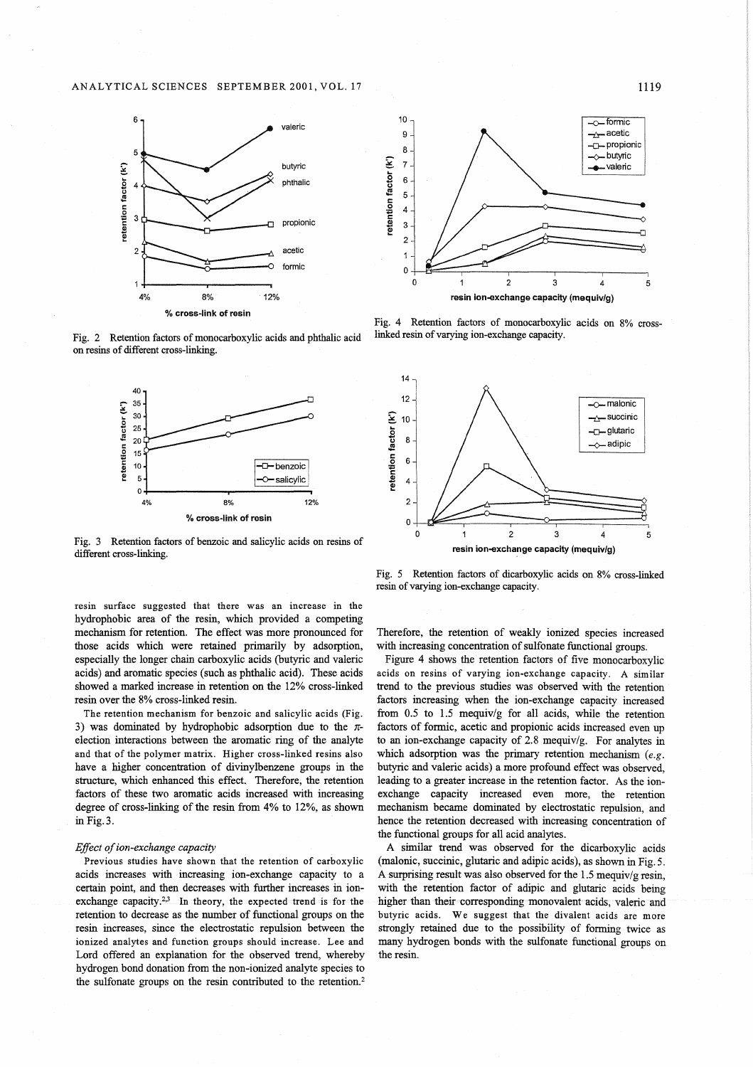

Fig. 2 Retention factors of monocarboxylic acids and phthalic acid on resins of different cross-linking.



Fig. 3 Retention factors of benzoic and salicylic acids on resins of different cross-linking.

resin surface suggested that there was an increase in the hydrophobic area of the resin, which provided a competing mechanism for retention. The effect was more pronounced for those acids which were retained primarily by adsorption, especially the longer chain carboxylic acids (butyric and valeric acids) and aromatic species (such as phthalic acid). These acids showed a marked increase in retention on the 12% cross-linked resin over the 8% cross-linked resin.

The retention mechanism for benzoic and salicylic acids (Fig. 3) was dominated by hydrophobic adsorption due to the  $\pi$ election interactions between the aromatic ring of the analyte and that of the polymer matrix. Higher cross-linked resins also have a higher concentration of divinylbenzene groups in the structure, which enhanced this effect. Therefore, the retention factors of these two aromatic acids increased with increasing degree of cross-linking of the resin from 4% to 12%, as shown in Fig.3.

### *Effect of ion-exchange capacity*

Previous studies have shown that the retention of carboxylic acids increases with increasing ion-exchange capacity to a certain point, and then decreases with further increases in ionexchange capacity.<sup>2,3</sup> In theory, the expected trend is for the retention to decrease as the number of functional groups on the resin increases, since the electrostatic repulsion between the ionized analytes and function groups should increase. Lee and Lord offered an explanation for the observed trend, whereby hydrogen bond donation from the non-ionized analyte species to the sulfonate groups on the resin contributed to the retention.<sup>2</sup>



Fig. 4 Retention factors of monocarboxylic acids on 8% crosslinked resin of varying ion-exchange capacity.



Fig. 5 Retention factors of dicarboxylic acids on 8% cross-linked resin of varying ion-exchange capacity.

Therefore, the retention of weakly ionized species increased with increasing concentration of sulfonate functional groups.

Figure 4 shows the retention factors of five monocarboxylic acids on resins of varying ion-exchange capacity. A similar trend to the previous studies was observed with the retention factors increasing when the ion-exchange capacity increased from 0.5 to 1.5 mequiv/g for all acids, while the retention factors of formic, acetic and propionic acids increased even up to an ion-exchange capacity of 2.8 mequiv/g. For analytes in which adsorption was the primary retention mechanism *(e.g.*  butyric and valeric acids) a more profound effect was observed, leading to a greater increase in the retention factor. As the ionexchange capacity increased even more, the retention mechanism became dominated by electrostatic repulsion, and hence the retention decreased with increasing concentration of the functional groups for all acid analytes.

A similar trend was observed for the dicarboxylic acids (malonic, succinic, glutaric and adipic acids), as shown in Fig. 5. A surprising result was also observed for the 1.5 mequiv/g resin, with the retention factor of adipic and glutaric acids being higher than their corresponding monovalent acids, valeric and butyric acids. We suggest that the divalent acids are more strongly retained due to the possibility of forming twice as many hydrogen bonds with the sulfonate functional groups on the resin.